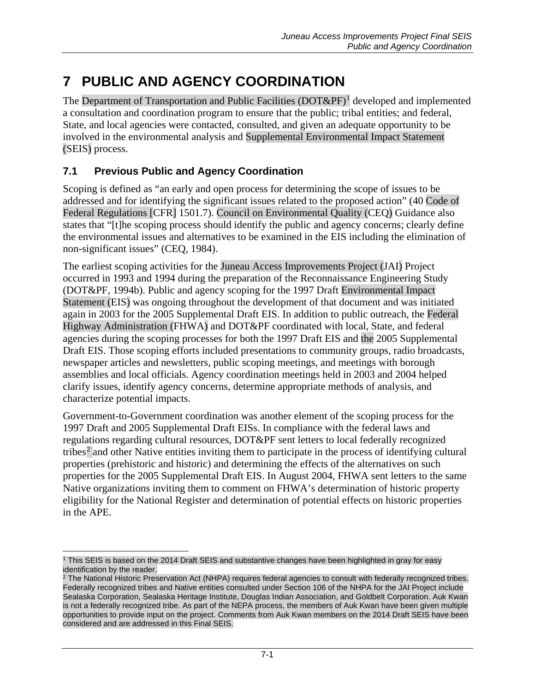# **7 PUBLIC AND AGENCY COORDINATION**

The Department of Transportation and Public Facilities  $(DOT\&PF)^1$  $(DOT\&PF)^1$  developed and implemented a consultation and coordination program to ensure that the public; tribal entities; and federal, State, and local agencies were contacted, consulted, and given an adequate opportunity to be involved in the environmental analysis and Supplemental Environmental Impact Statement (SEIS) process.

# **7.1 Previous Public and Agency Coordination**

Scoping is defined as "an early and open process for determining the scope of issues to be addressed and for identifying the significant issues related to the proposed action" (40 Code of Federal Regulations [CFR] 1501.7). Council on Environmental Quality (CEQ) Guidance also states that "[t]he scoping process should identify the public and agency concerns; clearly define the environmental issues and alternatives to be examined in the EIS including the elimination of non-significant issues" (CEQ, 1984).

The earliest scoping activities for the Juneau Access Improvements Project (JAI) Project occurred in 1993 and 1994 during the preparation of the Reconnaissance Engineering Study (DOT&PF, 1994b). Public and agency scoping for the 1997 Draft Environmental Impact Statement (EIS) was ongoing throughout the development of that document and was initiated again in 2003 for the 2005 Supplemental Draft EIS. In addition to public outreach, the Federal Highway Administration (FHWA) and DOT&PF coordinated with local, State, and federal agencies during the scoping processes for both the 1997 Draft EIS and the 2005 Supplemental Draft EIS. Those scoping efforts included presentations to community groups, radio broadcasts, newspaper articles and newsletters, public scoping meetings, and meetings with borough assemblies and local officials. Agency coordination meetings held in 2003 and 2004 helped clarify issues, identify agency concerns, determine appropriate methods of analysis, and characterize potential impacts.

Government-to-Government coordination was another element of the scoping process for the 1997 Draft and 2005 Supplemental Draft EISs. In compliance with the federal laws and regulations regarding cultural resources, DOT&PF sent letters to local federally recognized tribes[2](#page-0-1) and other Native entities inviting them to participate in the process of identifying cultural properties (prehistoric and historic) and determining the effects of the alternatives on such properties for the 2005 Supplemental Draft EIS. In August 2004, FHWA sent letters to the same Native organizations inviting them to comment on FHWA's determination of historic property eligibility for the National Register and determination of potential effects on historic properties in the APE.

<span id="page-0-0"></span> $\overline{a}$ <sup>1</sup> This SEIS is based on the 2014 Draft SEIS and substantive changes have been highlighted in gray for easy identification by the reader.

<span id="page-0-1"></span><sup>&</sup>lt;sup>2</sup> The National Historic Preservation Act (NHPA) requires federal agencies to consult with federally recognized tribes. Federally recognized tribes and Native entities consulted under Section 106 of the NHPA for the JAI Project include Sealaska Corporation, Sealaska Heritage Institute, Douglas Indian Association, and Goldbelt Corporation. Auk Kwan is not a federally recognized tribe. As part of the NEPA process, the members of Auk Kwan have been given multiple opportunities to provide input on the project. Comments from Auk Kwan members on the 2014 Draft SEIS have been considered and are addressed in this Final SEIS.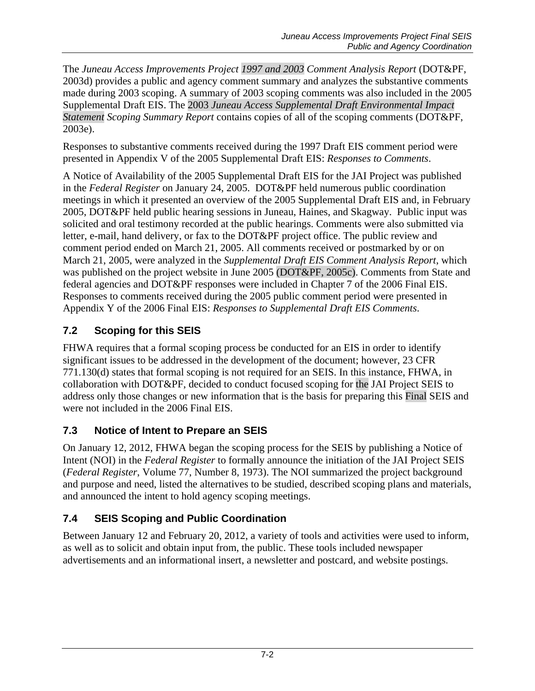The *Juneau Access Improvements Project 1997 and 2003 Comment Analysis Report* (DOT&PF, 2003d) provides a public and agency comment summary and analyzes the substantive comments made during 2003 scoping. A summary of 2003 scoping comments was also included in the 2005 Supplemental Draft EIS. The 2003 *Juneau Access Supplemental Draft Environmental Impact Statement Scoping Summary Report* contains copies of all of the scoping comments (DOT&PF, 2003e).

Responses to substantive comments received during the 1997 Draft EIS comment period were presented in Appendix V of the 2005 Supplemental Draft EIS: *Responses to Comments*.

A Notice of Availability of the 2005 Supplemental Draft EIS for the JAI Project was published in the *Federal Register* on January 24, 2005. DOT&PF held numerous public coordination meetings in which it presented an overview of the 2005 Supplemental Draft EIS and, in February 2005, DOT&PF held public hearing sessions in Juneau, Haines, and Skagway. Public input was solicited and oral testimony recorded at the public hearings. Comments were also submitted via letter, e-mail, hand delivery, or fax to the DOT&PF project office. The public review and comment period ended on March 21, 2005. All comments received or postmarked by or on March 21, 2005, were analyzed in the *Supplemental Draft EIS Comment Analysis Report*, which was published on the project website in June 2005 (DOT&PF, 2005c). Comments from State and federal agencies and DOT&PF responses were included in Chapter 7 of the 2006 Final EIS. Responses to comments received during the 2005 public comment period were presented in Appendix Y of the 2006 Final EIS: *Responses to Supplemental Draft EIS Comments*.

# **7.2 Scoping for this SEIS**

FHWA requires that a formal scoping process be conducted for an EIS in order to identify significant issues to be addressed in the development of the document; however, 23 CFR 771.130(d) states that formal scoping is not required for an SEIS. In this instance, FHWA, in collaboration with DOT&PF, decided to conduct focused scoping for the JAI Project SEIS to address only those changes or new information that is the basis for preparing this Final SEIS and were not included in the 2006 Final EIS.

# **7.3 Notice of Intent to Prepare an SEIS**

On January 12, 2012, FHWA began the scoping process for the SEIS by publishing a Notice of Intent (NOI) in the *Federal Register* to formally announce the initiation of the JAI Project SEIS (*Federal Register*, Volume 77, Number 8, 1973). The NOI summarized the project background and purpose and need, listed the alternatives to be studied, described scoping plans and materials, and announced the intent to hold agency scoping meetings.

# **7.4 SEIS Scoping and Public Coordination**

Between January 12 and February 20, 2012, a variety of tools and activities were used to inform, as well as to solicit and obtain input from, the public. These tools included newspaper advertisements and an informational insert, a newsletter and postcard, and website postings.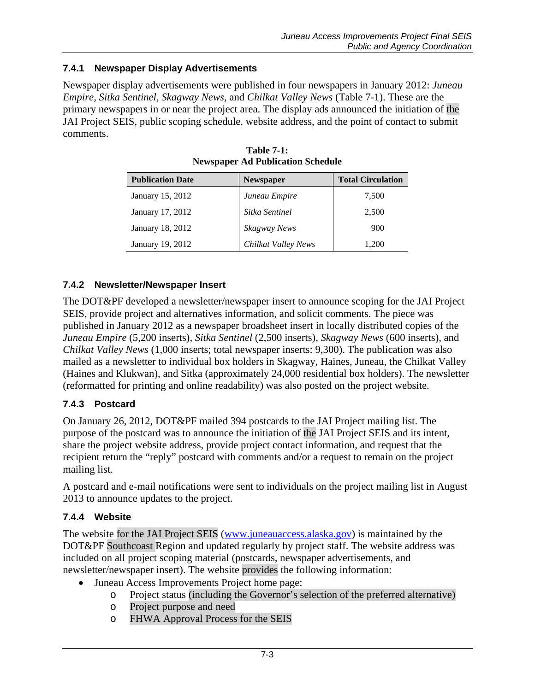### **7.4.1 Newspaper Display Advertisements**

<span id="page-2-0"></span>Newspaper display advertisements were published in four newspapers in January 2012: *Juneau Empire, Sitka Sentinel*, *Skagway News*, and *Chilkat Valley News* [\(Table 7-1\)](#page-2-0). These are the primary newspapers in or near the project area. The display ads announced the initiation of the JAI Project SEIS, public scoping schedule, website address, and the point of contact to submit comments.

| <b>Publication Date</b> | <b>Newspaper</b>    | <b>Total Circulation</b> |
|-------------------------|---------------------|--------------------------|
| January 15, 2012        | Juneau Empire       | 7,500                    |
| January 17, 2012        | Sitka Sentinel      | 2,500                    |
| January 18, 2012        | Skagway News        | 900                      |
| January 19, 2012        | Chilkat Valley News | 1.200                    |

**Table 7-1: Newspaper Ad Publication Schedule**

### **7.4.2 Newsletter/Newspaper Insert**

The DOT&PF developed a newsletter/newspaper insert to announce scoping for the JAI Project SEIS, provide project and alternatives information, and solicit comments. The piece was published in January 2012 as a newspaper broadsheet insert in locally distributed copies of the *Juneau Empire* (5,200 inserts)*, Sitka Sentinel* (2,500 inserts), *Skagway News* (600 inserts), and *Chilkat Valley News* (1,000 inserts; total newspaper inserts: 9,300). The publication was also mailed as a newsletter to individual box holders in Skagway, Haines, Juneau, the Chilkat Valley (Haines and Klukwan), and Sitka (approximately 24,000 residential box holders). The newsletter (reformatted for printing and online readability) was also posted on the project website.

### **7.4.3 Postcard**

On January 26, 2012, DOT&PF mailed 394 postcards to the JAI Project mailing list. The purpose of the postcard was to announce the initiation of the JAI Project SEIS and its intent, share the project website address, provide project contact information, and request that the recipient return the "reply" postcard with comments and/or a request to remain on the project mailing list.

A postcard and e-mail notifications were sent to individuals on the project mailing list in August 2013 to announce updates to the project.

#### **7.4.4 Website**

The website for the JAI Project SEIS [\(www.juneauaccess.alaska.gov\)](http://www.juneauaccess.alaska.gov/) is maintained by the DOT&PF Southcoast Region and updated regularly by project staff. The website address was included on all project scoping material (postcards, newspaper advertisements, and newsletter/newspaper insert). The website provides the following information:

- Juneau Access Improvements Project home page:
	- o Project status (including the Governor's selection of the preferred alternative)
	- o Project purpose and need
	- o FHWA Approval Process for the SEIS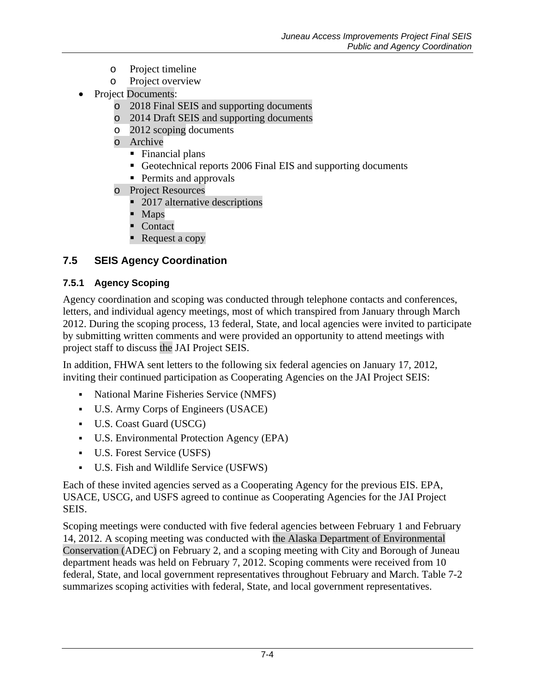- o Project timeline
- Project overview
- Project Documents:
	- o 2018 Final SEIS and supporting documents
	- o 2014 Draft SEIS and supporting documents
	- o 2012 scoping documents
	- o Archive
		- Financial plans
		- Geotechnical reports 2006 Final EIS and supporting documents
		- **Permits and approvals**
	- o Project Resources
		- 2017 alternative descriptions
		- Maps
		- Contact
		- Request a copy

### **7.5 SEIS Agency Coordination**

#### **7.5.1 Agency Scoping**

Agency coordination and scoping was conducted through telephone contacts and conferences, letters, and individual agency meetings, most of which transpired from January through March 2012. During the scoping process, 13 federal, State, and local agencies were invited to participate by submitting written comments and were provided an opportunity to attend meetings with project staff to discuss the JAI Project SEIS.

In addition, FHWA sent letters to the following six federal agencies on January 17, 2012, inviting their continued participation as Cooperating Agencies on the JAI Project SEIS:

- National Marine Fisheries Service (NMFS)
- U.S. Army Corps of Engineers (USACE)
- U.S. Coast Guard (USCG)
- U.S. Environmental Protection Agency (EPA)
- U.S. Forest Service (USFS)
- <span id="page-3-0"></span>U.S. Fish and Wildlife Service (USFWS)

Each of these invited agencies served as a Cooperating Agency for the previous EIS. EPA, USACE, USCG, and USFS agreed to continue as Cooperating Agencies for the JAI Project SEIS.

Scoping meetings were conducted with five federal agencies between February 1 and February 14, 2012. A scoping meeting was conducted with the Alaska Department of Environmental Conservation (ADEC) on February 2, and a scoping meeting with City and Borough of Juneau department heads was held on February 7, 2012. Scoping comments were received from 10 federal, State, and local government representatives throughout February and March. [Table 7-2](#page-3-0) summarizes scoping activities with federal, State, and local government representatives.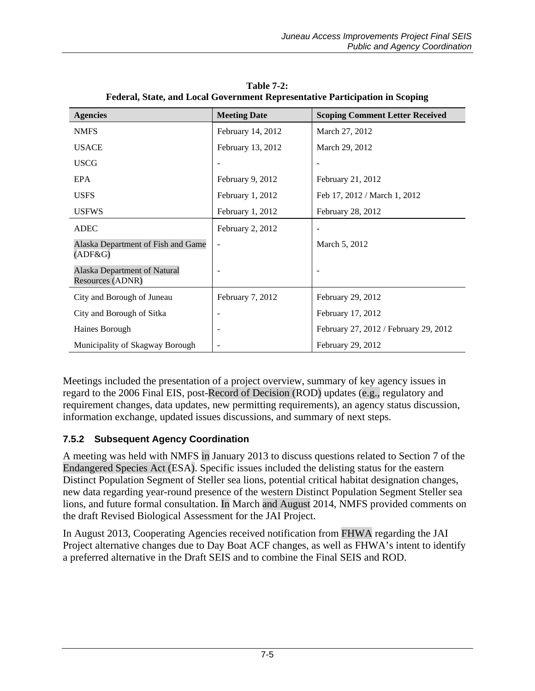| <b>Agencies</b>                                  | <b>Meeting Date</b> | <b>Scoping Comment Letter Received</b> |
|--------------------------------------------------|---------------------|----------------------------------------|
| <b>NMFS</b>                                      | February 14, 2012   | March 27, 2012                         |
| <b>USACE</b>                                     | February 13, 2012   | March 29, 2012                         |
| <b>USCG</b>                                      |                     |                                        |
| EPA                                              | February 9, 2012    | February 21, 2012                      |
| <b>USFS</b>                                      | February 1, 2012    | Feb 17, 2012 / March 1, 2012           |
| <b>USFWS</b>                                     | February 1, 2012    | February 28, 2012                      |
| <b>ADEC</b>                                      | February 2, 2012    |                                        |
| Alaska Department of Fish and Game<br>(ADF&G)    | $\overline{a}$      | March 5, 2012                          |
| Alaska Department of Natural<br>Resources (ADNR) |                     |                                        |
| City and Borough of Juneau                       | February 7, 2012    | February 29, 2012                      |
| City and Borough of Sitka                        |                     | February 17, 2012                      |
| Haines Borough                                   |                     | February 27, 2012 / February 29, 2012  |
| Municipality of Skagway Borough                  |                     | February 29, 2012                      |

**Table 7-2: Federal, State, and Local Government Representative Participation in Scoping**

Meetings included the presentation of a project overview, summary of key agency issues in regard to the 2006 Final EIS, post-Record of Decision (ROD) updates (e.g., regulatory and requirement changes, data updates, new permitting requirements), an agency status discussion, information exchange, updated issues discussions, and summary of next steps.

### **7.5.2 Subsequent Agency Coordination**

A meeting was held with NMFS in January 2013 to discuss questions related to Section 7 of the Endangered Species Act (ESA). Specific issues included the delisting status for the eastern Distinct Population Segment of Steller sea lions, potential critical habitat designation changes, new data regarding year-round presence of the western Distinct Population Segment Steller sea lions, and future formal consultation. In March and August 2014, NMFS provided comments on the draft Revised Biological Assessment for the JAI Project.

In August 2013, Cooperating Agencies received notification from FHWA regarding the JAI Project alternative changes due to Day Boat ACF changes, as well as FHWA's intent to identify a preferred alternative in the Draft SEIS and to combine the Final SEIS and ROD.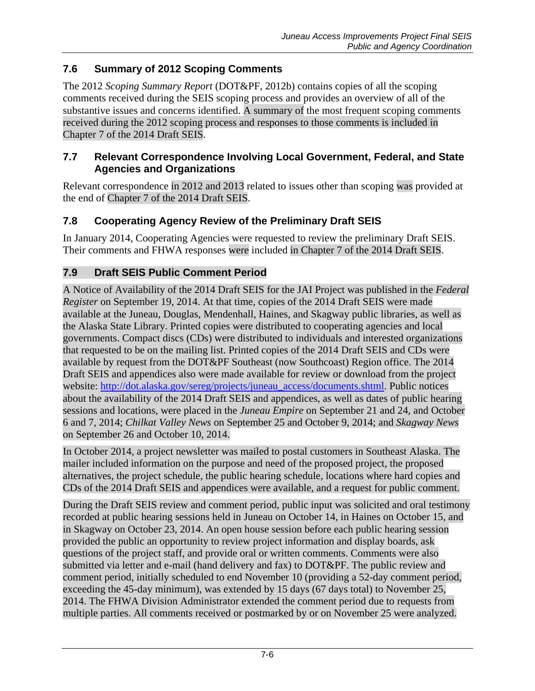# **7.6 Summary of 2012 Scoping Comments**

The 2012 *Scoping Summary Report* (DOT&PF, 2012b) contains copies of all the scoping comments received during the SEIS scoping process and provides an overview of all of the substantive issues and concerns identified. A summary of the most frequent scoping comments received during the 2012 scoping process and responses to those comments is included in Chapter 7 of the 2014 Draft SEIS.

### **7.7 Relevant Correspondence Involving Local Government, Federal, and State Agencies and Organizations**

Relevant correspondence in 2012 and 2013 related to issues other than scoping was provided at the end of Chapter 7 of the 2014 Draft SEIS.

# **7.8 Cooperating Agency Review of the Preliminary Draft SEIS**

In January 2014, Cooperating Agencies were requested to review the preliminary Draft SEIS. Their comments and FHWA responses were included in Chapter 7 of the 2014 Draft SEIS.

### **7.9 Draft SEIS Public Comment Period**

A Notice of Availability of the 2014 Draft SEIS for the JAI Project was published in the *Federal Register* on September 19, 2014. At that time, copies of the 2014 Draft SEIS were made available at the Juneau, Douglas, Mendenhall, Haines, and Skagway public libraries, as well as the Alaska State Library. Printed copies were distributed to cooperating agencies and local governments. Compact discs (CDs) were distributed to individuals and interested organizations that requested to be on the mailing list. Printed copies of the 2014 Draft SEIS and CDs were available by request from the DOT&PF Southeast (now Southcoast) Region office. The 2014 Draft SEIS and appendices also were made available for review or download from the project website: [http://dot.alaska.gov/sereg/projects/juneau\\_access/documents.shtml.](http://dot.alaska.gov/sereg/projects/juneau_access/documents.shtml) Public notices about the availability of the 2014 Draft SEIS and appendices, as well as dates of public hearing sessions and locations, were placed in the *Juneau Empire* on September 21 and 24, and October 6 and 7, 2014; *Chilkat Valley News* on September 25 and October 9, 2014; and *Skagway News* on September 26 and October 10, 2014.

In October 2014, a project newsletter was mailed to postal customers in Southeast Alaska. The mailer included information on the purpose and need of the proposed project, the proposed alternatives, the project schedule, the public hearing schedule, locations where hard copies and CDs of the 2014 Draft SEIS and appendices were available, and a request for public comment.

During the Draft SEIS review and comment period, public input was solicited and oral testimony recorded at public hearing sessions held in Juneau on October 14, in Haines on October 15, and in Skagway on October 23, 2014. An open house session before each public hearing session provided the public an opportunity to review project information and display boards, ask questions of the project staff, and provide oral or written comments. Comments were also submitted via letter and e-mail (hand delivery and fax) to DOT&PF. The public review and comment period, initially scheduled to end November 10 (providing a 52-day comment period, exceeding the 45-day minimum), was extended by 15 days (67 days total) to November 25, 2014. The FHWA Division Administrator extended the comment period due to requests from multiple parties. All comments received or postmarked by or on November 25 were analyzed.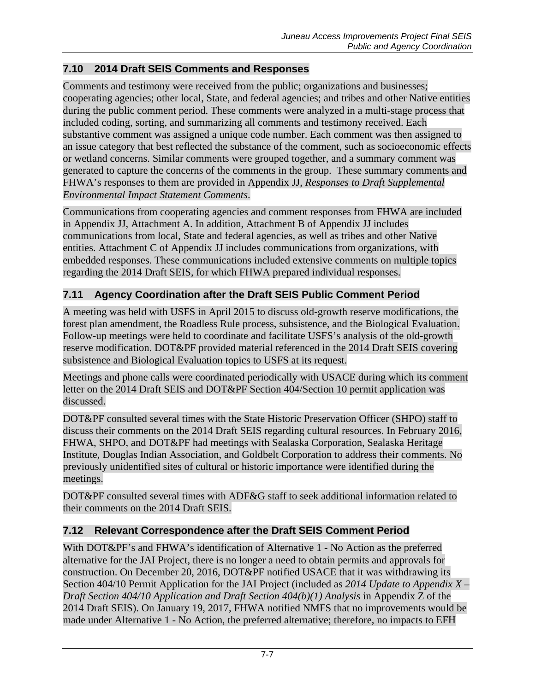### **7.10 2014 Draft SEIS Comments and Responses**

Comments and testimony were received from the public; organizations and businesses; cooperating agencies; other local, State, and federal agencies; and tribes and other Native entities during the public comment period. These comments were analyzed in a multi-stage process that included coding, sorting, and summarizing all comments and testimony received. Each substantive comment was assigned a unique code number. Each comment was then assigned to an issue category that best reflected the substance of the comment, such as socioeconomic effects or wetland concerns. Similar comments were grouped together, and a summary comment was generated to capture the concerns of the comments in the group. These summary comments and FHWA's responses to them are provided in Appendix JJ, *Responses to Draft Supplemental Environmental Impact Statement Comments*.

Communications from cooperating agencies and comment responses from FHWA are included in Appendix JJ, Attachment A. In addition, Attachment B of Appendix JJ includes communications from local, State and federal agencies, as well as tribes and other Native entities. Attachment C of Appendix JJ includes communications from organizations, with embedded responses. These communications included extensive comments on multiple topics regarding the 2014 Draft SEIS, for which FHWA prepared individual responses.

# **7.11 Agency Coordination after the Draft SEIS Public Comment Period**

A meeting was held with USFS in April 2015 to discuss old-growth reserve modifications, the forest plan amendment, the Roadless Rule process, subsistence, and the Biological Evaluation. Follow-up meetings were held to coordinate and facilitate USFS's analysis of the old-growth reserve modification. DOT&PF provided material referenced in the 2014 Draft SEIS covering subsistence and Biological Evaluation topics to USFS at its request.

Meetings and phone calls were coordinated periodically with USACE during which its comment letter on the 2014 Draft SEIS and DOT&PF Section 404/Section 10 permit application was discussed.

DOT&PF consulted several times with the State Historic Preservation Officer (SHPO) staff to discuss their comments on the 2014 Draft SEIS regarding cultural resources. In February 2016, FHWA, SHPO, and DOT&PF had meetings with Sealaska Corporation, Sealaska Heritage Institute, Douglas Indian Association, and Goldbelt Corporation to address their comments. No previously unidentified sites of cultural or historic importance were identified during the meetings.

DOT&PF consulted several times with ADF&G staff to seek additional information related to their comments on the 2014 Draft SEIS.

### **7.12 Relevant Correspondence after the Draft SEIS Comment Period**

With DOT&PF's and FHWA's identification of Alternative 1 - No Action as the preferred alternative for the JAI Project, there is no longer a need to obtain permits and approvals for construction. On December 20, 2016, DOT&PF notified USACE that it was withdrawing its Section 404/10 Permit Application for the JAI Project (included as *2014 Update to Appendix X – Draft Section 404/10 Application and Draft Section 404(b)(1) Analysis* in Appendix Z of the 2014 Draft SEIS). On January 19, 2017, FHWA notified NMFS that no improvements would be made under Alternative 1 - No Action, the preferred alternative; therefore, no impacts to EFH